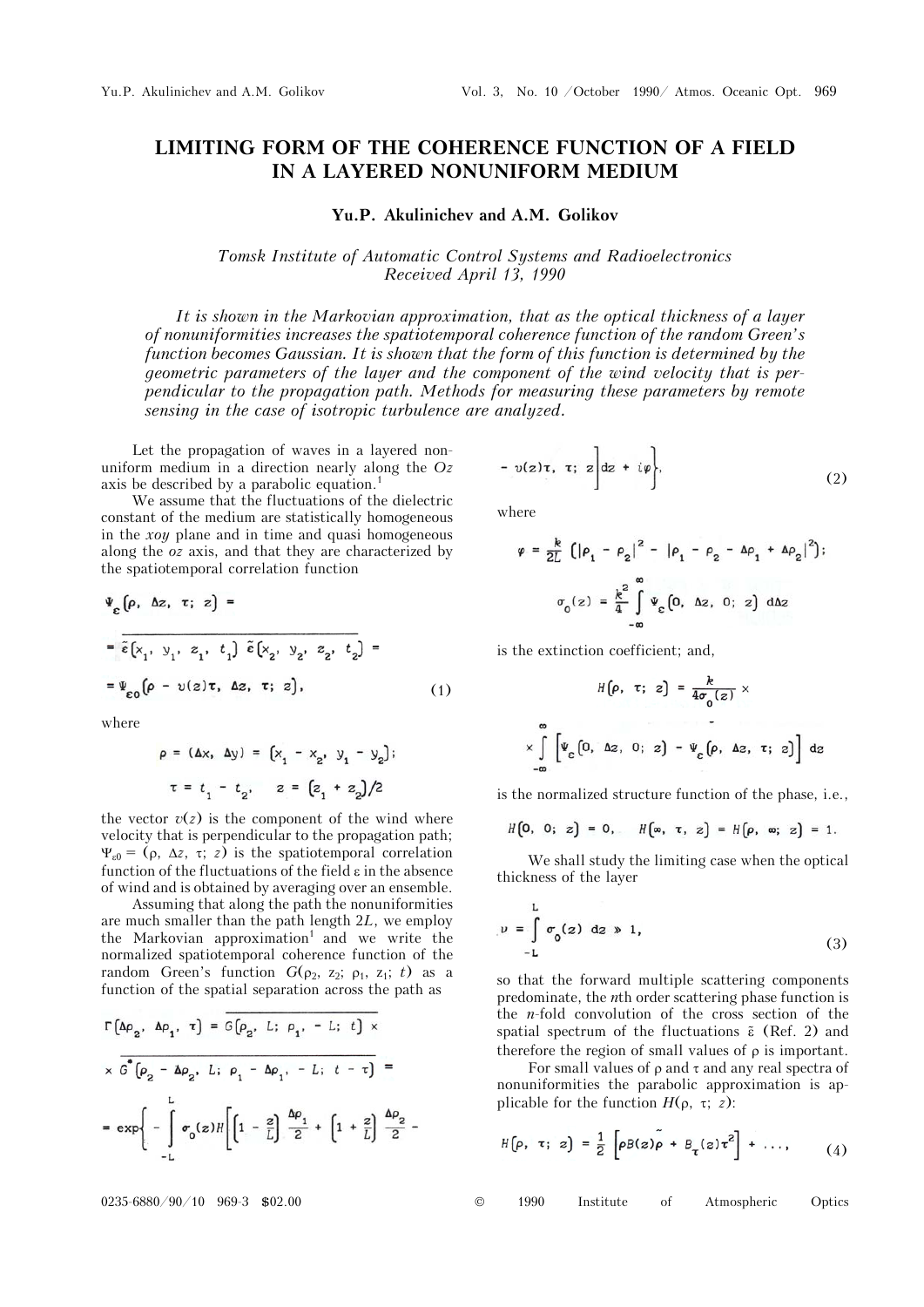## **LIMITING FORM OF THE COHERENCE FUNCTION OF A FIELD IN A LAYERED NONUNIFORM MEDIUM**

## **Yu.P. Akulinichev and A.M. Golikov**

*Tomsk Institute of Automatic Control Systems and Radioelectronics Received April 13, 1990* 

*It is shown in the Markovian approximation, that as the optical thickness of a layer of nonuniformities increases the spatiotemporal coherence function of the random Green's function becomes Gaussian. It is shown that the form of this function is determined by the geometric parameters of the layer and the component of the wind velocity that is perpendicular to the propagation path. Methods for measuring these parameters by remote sensing in the case of isotropic turbulence are analyzed.* 

Let the propagation of waves in a layered nonuniform medium in a direction nearly along the *Oz* axis be described by a parabolic equation.<sup>1</sup>

We assume that the fluctuations of the dielectric constant of the medium are statistically homogeneous in the *xoy* plane and in time and quasi homogeneous along the *oz* axis, and that they are characterized by the spatiotemporal correlation function

$$
\Psi_{\varepsilon}(\rho, \Delta z, \tau; z) =
$$
\n
$$
= \overline{\tilde{\varepsilon}(x_1, y_1, z_1, t_1) \tilde{\varepsilon}(x_2, y_2, z_2, t_2)} =
$$
\n
$$
= \Psi_{\varepsilon 0}(\rho - v(z)\tau, \Delta z, \tau; z), \qquad (1)
$$

 $\sim$ 

where

$$
\rho = (\Delta x, \Delta y) = [x_1 - x_2, y_1 - y_2];
$$
  
\n
$$
\tau = t_1 - t_2, \quad z = [z_1 + z_2]/2
$$

the vector  $v(z)$  is the component of the wind where velocity that is perpendicular to the propagation path;  $\Psi_{\rm r0} = (\rho, \Delta z, \tau; z)$  is the spatiotemporal correlation function of the fluctuations of the field  $\varepsilon$  in the absence of wind and is obtained by averaging over an ensemble.

Assuming that along the path the nonuniformities are much smaller than the path length 2*L*, we employ the Markovian approximation<sup>1</sup> and we write the normalized spatiotemporal coherence function of the random Green's function  $G(\rho_2, z_2; \rho_1, z_1; t)$  as a function of the spatial separation across the path as

$$
\Gamma\left(\Delta\rho_{2}, \Delta\rho_{1}, \tau\right) = \overline{G\left(\rho_{2}, L; \rho_{1}, -L; t\right) \times}
$$
\n
$$
\times \overline{G}^{\bullet}\left(\rho_{2} - \Delta\rho_{2}, L; \rho_{1} - \Delta\rho_{1}, -L; t - \tau\right) =
$$
\n
$$
= \exp\left\{-\int_{-L}^{L} \sigma_{0}(z)H\left[\left(1 - \frac{z}{L}\right)\frac{\Delta\rho_{1}}{2} + \left(1 + \frac{z}{L}\right)\frac{\Delta\rho_{2}}{2}\right] \right\}
$$

$$
-v(z)\tau, \tau; z\bigg]dz + i\varphi\bigg\},
$$
 (2)

where

$$
\varphi = \frac{k}{2L} \left( |\rho_1 - \rho_2|^2 - |\rho_1 - \rho_2 - \Delta \rho_1 + \Delta \rho_2|^2 \right);
$$

$$
\sigma_0(z) = \frac{k^2}{4} \int_{-\infty}^{\infty} \Psi_{\varepsilon} (0, \Delta z, 0; z) d\Delta z
$$

is the extinction coefficient; and,

$$
H[\rho, \tau; z] = \frac{\kappa}{4\sigma_0(z)} \times
$$
  

$$
\times \int_{-\infty}^{\infty} \left[ \Psi_{\varepsilon} [0, \Delta z, 0; z] - \Psi_{\varepsilon} [\rho, \Delta z, \tau; z] \right] dz
$$

is the normalized structure function of the phase, i.e.,

$$
H[0, 0; z] = 0, \quad H[\infty, \tau, z] = H[\rho, \infty; z] = 1.
$$

We shall study the limiting case when the optical thickness of the layer

$$
\nu = \int_{-L}^{L} \sigma_0(z) \, dz \gg 1,
$$
 (3)

so that the forward multiple scattering components predominate, the *n*th order scattering phase function is the *n*-fold convolution of the cross section of the spatial spectrum of the fluctuations  $\tilde{\epsilon}$  (Ref. 2) and therefore the region of small values of  $\rho$  is important.

For small values of  $\rho$  and  $\tau$  and any real spectra of nonuniformities the parabolic approximation is applicable for the function  $H(\rho, \tau; z)$ :

$$
H\big(\rho, \tau; z\big) = \frac{1}{2} \left[ \rho B(z) \tilde{\rho} + B_{\tau}(z) \tau^2 \right] + \dots, \qquad (4)
$$

0235-6880/90/10 969-3 \$02.00 © 1990 Institute of Atmospheric Optics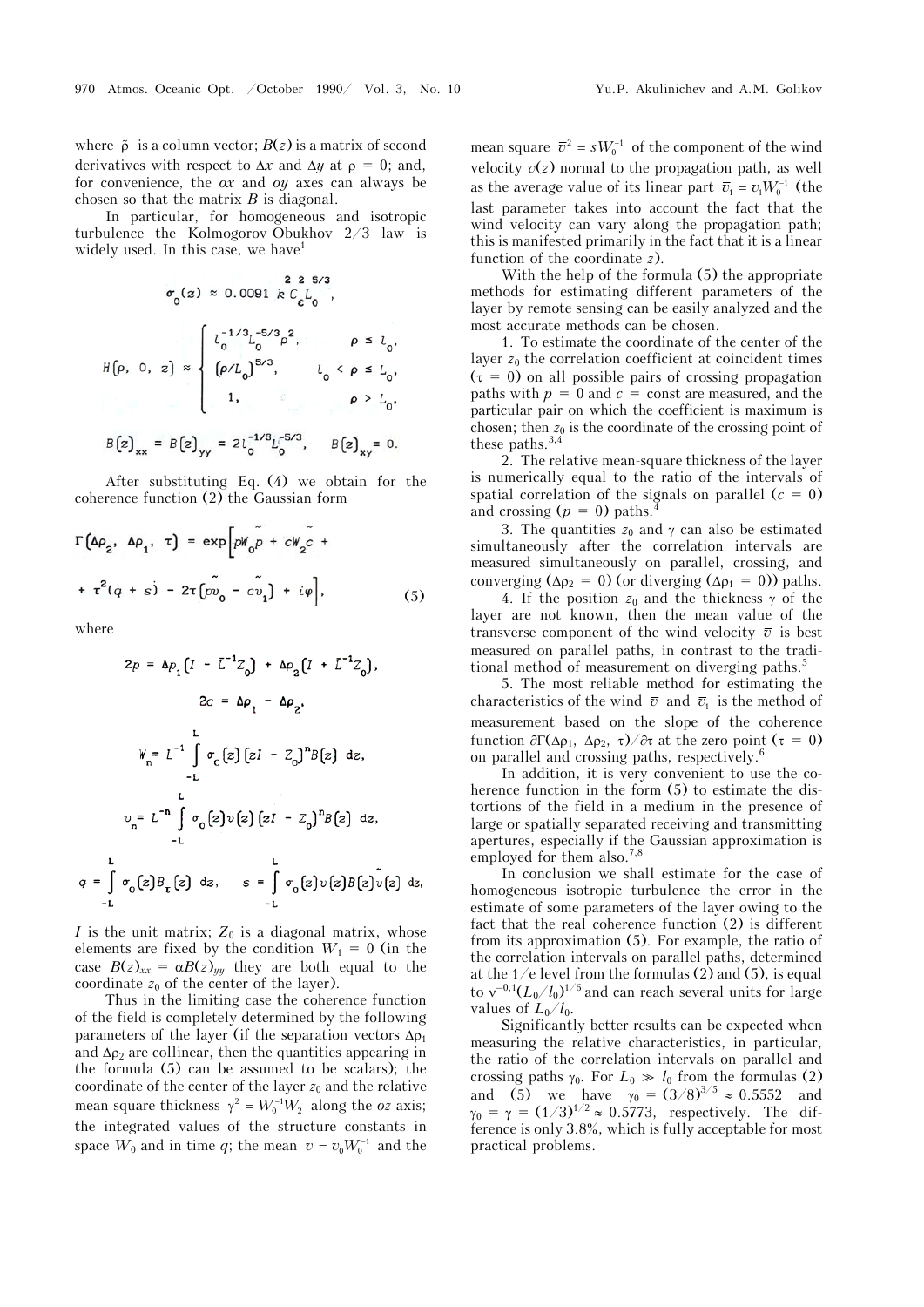where  $\tilde{\rho}$  is a column vector;  $B(z)$  is a matrix of second derivatives with respect to  $\Delta x$  and  $\Delta y$  at  $\rho = 0$ ; and, for convenience, the *ox* and *oy* axes can always be chosen so that the matrix *Â* is diagonal.

In particular, for homogeneous and isotropic turbulence the Kolmogorov-Obukhov 2/3 law is widely used. In this case, we have<sup>1</sup>

$$
\sigma_0(z) \approx 0.0091 \& C_{\varepsilon} L_0,
$$
\n
$$
H(\rho, 0, z) \approx \begin{cases}\n l_0^{-1/3} L_0^{-5/3} \rho^2, & \rho \le l_0, \\
\left[ \rho / L_0 \right]^{5/3}, & l_0 < \rho \le L_0, \\
1, & \rho > L_0, \\
1, & \rho > L_0.\n\end{cases}
$$
\n
$$
B(z)_{xx} = B(z)_{yy} = 2l_0^{-1/8} L_0^{-5/3}, \quad B(z)_{xy} = 0.
$$

After substituting Eq. (4) we obtain for the coherence function (2) the Gaussian form

$$
\Gamma\left(\Delta\rho_{2}, \Delta\rho_{1}, \tau\right) = \exp\left[pW_{0}\tilde{p} + cW_{2}\tilde{c} + \tau^{2}(q+s) - 2\tau\left(\tilde{pv}_{0} - c\tilde{v}_{1}\right) + i\varphi\right],
$$
\n(5)

where

q

$$
2p = \Delta p_1 \left( I - \bar{L}^{-1} Z_0 \right) + \Delta p_2 \left( I + \bar{L}^{-1} Z_0 \right),
$$
  
\n
$$
2c = \Delta p_1 - \Delta p_2,
$$
  
\n
$$
W_n = L^{-1} \int \sigma_0 \left( z \right) \left( zI - Z_0 \right)^n B \left( z \right) dz,
$$
  
\n
$$
v_n = L^{-n} \int \sigma_0 \left( z \right) v \left( z \right) \left( zI - Z_0 \right)^n B \left( z \right) dz,
$$
  
\n
$$
v_n = L^{-n} \int \sigma_0 \left( z \right) v \left( z \right) \left( zI - Z_0 \right)^n B \left( z \right) dz,
$$
  
\n
$$
= \int \sigma_0 \left( z \right) B_{\tau} \left( z \right) dz, \qquad s = \int \sigma_0 \left( z \right) v \left( z \right) B \left( z \right) v \left( z \right) dz
$$

*I* is the unit matrix;  $Z_0$  is a diagonal matrix, whose elements are fixed by the condition  $W_1 = 0$  (in the case  $B(z)_{xx} = \alpha B(z)_{yy}$  they are both equal to the coordinate  $z_0$  of the center of the layer).

Thus in the limiting case the coherence function of the field is completely determined by the following parameters of the layer (if the separation vectors  $\Delta \rho_1$ and  $\Delta \rho_2$  are collinear, then the quantities appearing in the formula (5) can be assumed to be scalars); the coordinate of the center of the layer  $z_0$  and the relative mean square thickness  $\gamma^2 = W_0^{-1} W_2$  along the *oz* axis; the integrated values of the structure constants in space  $W_0$  and in time *q*; the mean  $\bar{v} = v_0 W_0^{-1}$  and the

mean square  $\bar{v}^2 = sW_0^{-1}$  of the component of the wind velocity  $v(z)$  normal to the propagation path, as well as the average value of its linear part  $\bar{v}_1 = v_1 W_0^{-1}$  (the last parameter takes into account the fact that the wind velocity can vary along the propagation path; this is manifested primarily in the fact that it is a linear function of the coordinate *z*).

With the help of the formula (5) the appropriate methods for estimating different parameters of the layer by remote sensing can be easily analyzed and the most accurate methods can be chosen.

1. To estimate the coordinate of the center of the layer  $z_0$  the correlation coefficient at coincident times  $(\tau = 0)$  on all possible pairs of crossing propagation paths with  $p = 0$  and  $c =$  const are measured, and the particular pair on which the coefficient is maximum is chosen; then  $z_0$  is the coordinate of the crossing point of these paths. $3,4$ 

2. The relative mean-square thickness of the layer is numerically equal to the ratio of the intervals of spatial correlation of the signals on parallel  $(c = 0)$ and crossing  $(p = 0)$  paths.

3. The quantities  $z_0$  and  $\gamma$  can also be estimated simultaneously after the correlation intervals are measured simultaneously on parallel, crossing, and converging ( $\Delta \rho_2 = 0$ ) (or diverging ( $\Delta \rho_1 = 0$ )) paths.

4. If the position  $z_0$  and the thickness  $\gamma$  of the layer are not known, then the mean value of the transverse component of the wind velocity  $\bar{v}$  is best measured on parallel paths, in contrast to the traditional method of measurement on diverging paths.<sup>5</sup>

5. The most reliable method for estimating the characteristics of the wind  $\bar{v}$  and  $\bar{v}_1$  is the method of measurement based on the slope of the coherence function  $\partial \Gamma(\Delta \rho_1, \Delta \rho_2, \tau)/\partial \tau$  at the zero point  $(\tau = 0)$ on parallel and crossing paths, respectively.<sup>6</sup>

In addition, it is very convenient to use the coherence function in the form (5) to estimate the distortions of the field in a medium in the presence of large or spatially separated receiving and transmitting apertures, especially if the Gaussian approximation is employed for them also.<sup>7,8</sup>

In conclusion we shall estimate for the case of homogeneous isotropic turbulence the error in the estimate of some parameters of the layer owing to the fact that the real coherence function (2) is different from its approximation (5). For example, the ratio of the correlation intervals on parallel paths, determined at the  $1/e$  level from the formulas (2) and (5), is equal to  $v^{-0.1} (L_0/l_0)^{1/6}$  and can reach several units for large values of  $L_0/l_0$ .

Significantly better results can be expected when measuring the relative characteristics, in particular, the ratio of the correlation intervals on parallel and crossing paths  $\gamma_0$ . For  $L_0 \gg l_0$  from the formulas (2) and (5) we have  $\gamma_0 = (3/8)^{3/5} \approx 0.5552$  and  $\gamma_0 = \gamma = (1/3)^{1/2} \approx 0.5773$ , respectively. The difference is only 3.8%, which is fully acceptable for most practical problems.